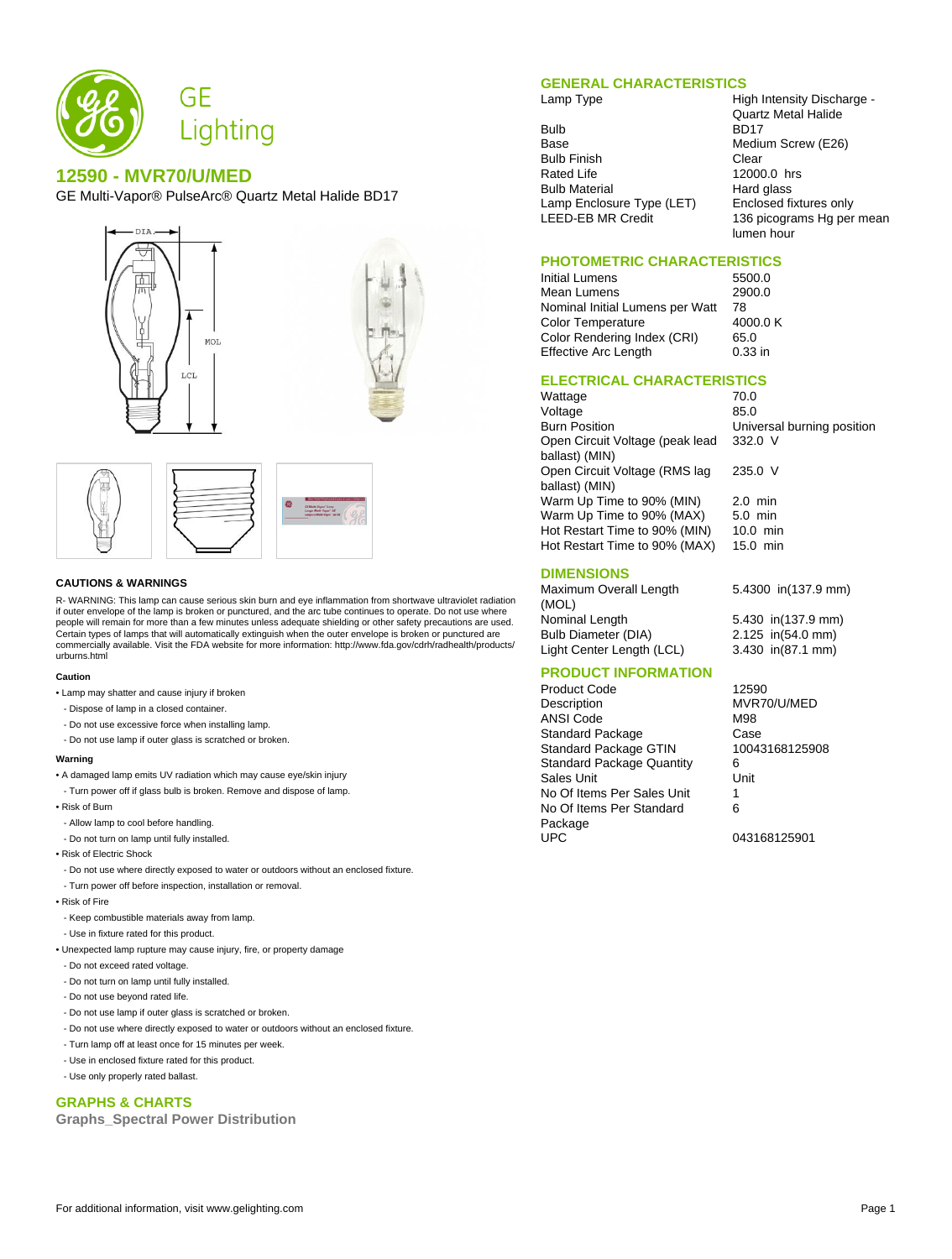

# **12590 - MVR70/U/MED**

GE Multi-Vapor® PulseArc® Quartz Metal Halide BD17





#### **CAUTIONS & WARNINGS**

R- WARNING: This lamp can cause serious skin burn and eye inflammation from shortwave ultraviolet radiation if outer envelope of the lamp is broken or punctured, and the arc tube continues to operate. Do not use where people will remain for more than a few minutes unless adequate shielding or other safety precautions are used. Certain types of lamps that will automatically extinguish when the outer envelope is broken or punctured are commercially available. Visit the FDA website for more information: http://www.fda.gov/cdrh/radhealth/products/ urburns.html

#### **Caution**

- Lamp may shatter and cause injury if broken
- Dispose of lamp in a closed container.
- Do not use excessive force when installing lamp.
- Do not use lamp if outer glass is scratched or broken.

#### **Warning**

- A damaged lamp emits UV radiation which may cause eye/skin injury
- Turn power off if glass bulb is broken. Remove and dispose of lamp.
- Risk of Burn
- Allow lamp to cool before handling.
- Do not turn on lamp until fully installed.
- Risk of Electric Shock
- Do not use where directly exposed to water or outdoors without an enclosed fixture.
- Turn power off before inspection, installation or removal.
- Risk of Fire
- Keep combustible materials away from lamp.
- Use in fixture rated for this product.
- Unexpected lamp rupture may cause injury, fire, or property damage
- Do not exceed rated voltage.
- Do not turn on lamp until fully installed.
- Do not use beyond rated life.
- Do not use lamp if outer glass is scratched or broken.
- Do not use where directly exposed to water or outdoors without an enclosed fixture.
- Turn lamp off at least once for 15 minutes per week.
- Use in enclosed fixture rated for this product.
- Use only properly rated ballast.

## **GRAPHS & CHARTS**

**Graphs\_Spectral Power Distribution**

## **GENERAL CHARACTERISTICS**

Bulb BD17<br>Base Mediu Bulb Finish<br>Rated Life **Clear** 2000 Bulb Material **Hard glass** Lamp Enclosure Type (LET) Enclosed fixtures only<br>LEED-EB MR Credit 136 picograms Hg per

Lamp Type **High Intensity Discharge -**Quartz Metal Halide Medium Screw (E26) 12000.0 hrs 136 picograms Hg per mean lumen hour

# **PHOTOMETRIC CHARACTERISTICS**

Initial Lumens 5500.0 Mean Lumens Nominal Initial Lumens per Watt 78<br>Color Temperature 4000 0 K Color Temperature 4000<br>Color Rendering Index (CRI) 65.0 Color Rendering Index (CRI) Effective Arc Length 0.33 in

332.0 V

235.0 V

### **ELECTRICAL CHARACTERISTICS**

Wattage 70.0 Voltage 85.0<br>Burn Position 85.0 Open Circuit Voltage (peak lead ballast) (MIN) Open Circuit Voltage (RMS lag ballast) (MIN) Warm Up Time to 90% (MIN) 2.0 min Warm Up Time to 90% (MAX) 5.0 min Hot Restart Time to 90% (MIN) 10.0 min<br>Hot Restart Time to 90% (MAX) 15.0 min Hot Restart Time to 90% (MAX)

## **DIMENSIONS**

Maximum Overall Length (MOL) Nominal Length 5.430 in(137.9 mm) Bulb Diameter (DIA) 2.125 in(54.0 mm) Light Center Length (LCL) 3.430 in(87.1 mm)

5.4300 in(137.9 mm)

Universal burning position

## **PRODUCT INFORMATION**

Product Code 12590 Description MVR70/U/MED ANSI Code M98 Standard Package Case<br>
Standard Package GTIN 10043168125908 Standard Package GTIN Standard Package Quantity 6 Sales Unit **Unit** Unit No Of Items Per Sales Unit 1 No Of Items Per Standard Package<br>UPC

6

043168125901